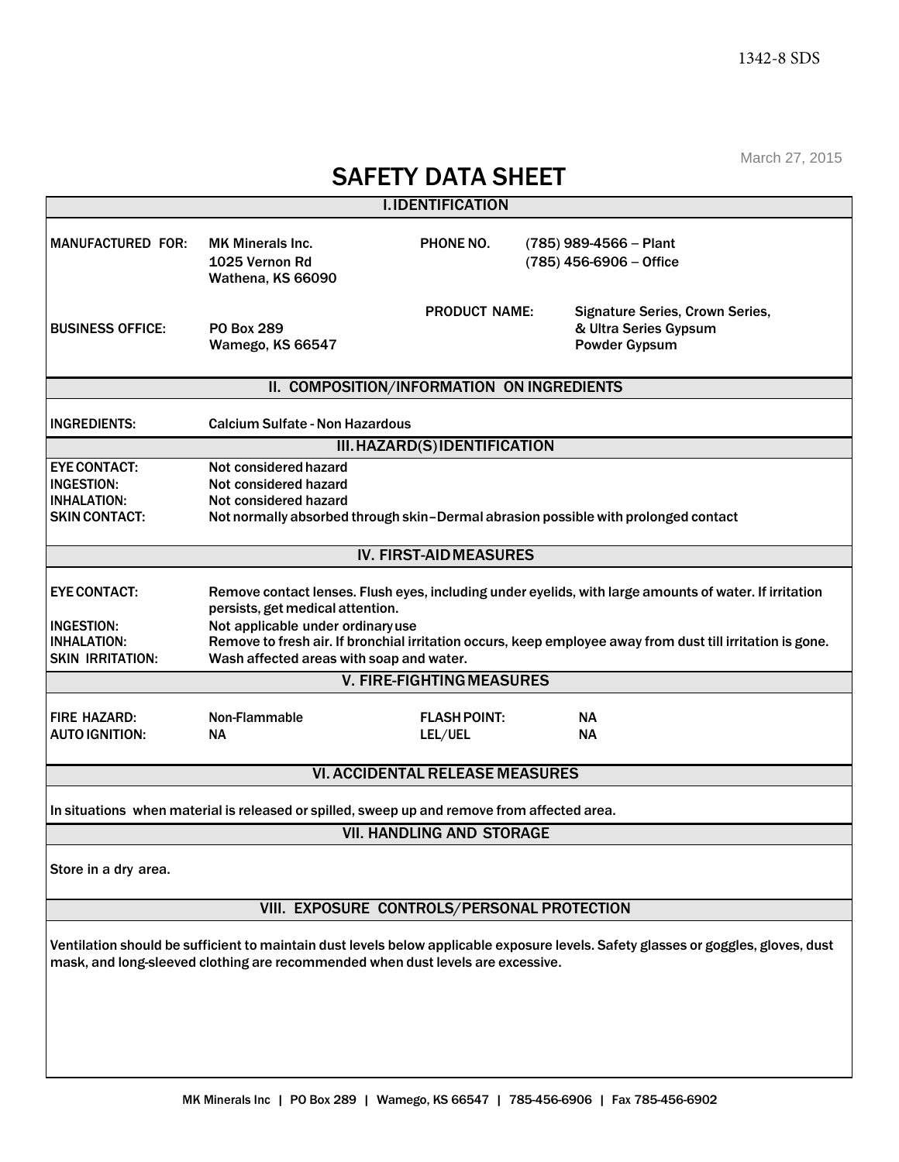March 27, 2015

| $111$ $111$ $11$ $11$ $11$ $11$<br><b>SAFETY DATA SHEET</b>                               |                                                                                                                                                                                                                                                                                                                                           |                                  |  |                                                                                                                                    |  |  |  |  |
|-------------------------------------------------------------------------------------------|-------------------------------------------------------------------------------------------------------------------------------------------------------------------------------------------------------------------------------------------------------------------------------------------------------------------------------------------|----------------------------------|--|------------------------------------------------------------------------------------------------------------------------------------|--|--|--|--|
| <b>I.IDENTIFICATION</b>                                                                   |                                                                                                                                                                                                                                                                                                                                           |                                  |  |                                                                                                                                    |  |  |  |  |
| <b>MANUFACTURED FOR:</b>                                                                  | <b>MK Minerals Inc.</b><br>1025 Vernon Rd<br>Wathena, KS 66090                                                                                                                                                                                                                                                                            | PHONE NO.                        |  | $(785)$ 989-4566 - Plant<br>(785) 456-6906 - Office                                                                                |  |  |  |  |
| <b>BUSINESS OFFICE:</b>                                                                   | PO Box 289<br>Wamego, KS 66547                                                                                                                                                                                                                                                                                                            | <b>PRODUCT NAME:</b>             |  | <b>Signature Series, Crown Series,</b><br>& Ultra Series Gypsum<br><b>Powder Gypsum</b>                                            |  |  |  |  |
| II. COMPOSITION/INFORMATION ON INGREDIENTS                                                |                                                                                                                                                                                                                                                                                                                                           |                                  |  |                                                                                                                                    |  |  |  |  |
| <b>INGREDIENTS:</b>                                                                       | <b>Calcium Sulfate - Non Hazardous</b>                                                                                                                                                                                                                                                                                                    |                                  |  |                                                                                                                                    |  |  |  |  |
| III. HAZARD(S) IDENTIFICATION                                                             |                                                                                                                                                                                                                                                                                                                                           |                                  |  |                                                                                                                                    |  |  |  |  |
| <b>EYE CONTACT:</b><br><b>INGESTION:</b><br><b>INHALATION:</b><br><b>SKIN CONTACT:</b>    | Not considered hazard<br>Not considered hazard<br>Not considered hazard<br>Not normally absorbed through skin-Dermal abrasion possible with prolonged contact                                                                                                                                                                             |                                  |  |                                                                                                                                    |  |  |  |  |
| <b>IV. FIRST-AID MEASURES</b>                                                             |                                                                                                                                                                                                                                                                                                                                           |                                  |  |                                                                                                                                    |  |  |  |  |
| <b>EYE CONTACT:</b><br><b>INGESTION:</b><br><b>INHALATION:</b><br><b>SKIN IRRITATION:</b> | Remove contact lenses. Flush eyes, including under eyelids, with large amounts of water. If irritation<br>persists, get medical attention.<br>Not applicable under ordinary use<br>Remove to fresh air. If bronchial irritation occurs, keep employee away from dust till irritation is gone.<br>Wash affected areas with soap and water. |                                  |  |                                                                                                                                    |  |  |  |  |
| <b>V. FIRE-FIGHTING MEASURES</b>                                                          |                                                                                                                                                                                                                                                                                                                                           |                                  |  |                                                                                                                                    |  |  |  |  |
| <b>FIRE HAZARD:</b><br><b>AUTO IGNITION:</b>                                              | Non-Flammable<br><b>NA</b>                                                                                                                                                                                                                                                                                                                | <b>FLASH POINT:</b><br>LEL/UEL   |  | NΑ<br>NΑ                                                                                                                           |  |  |  |  |
| <b>VI. ACCIDENTAL RELEASE MEASURES</b>                                                    |                                                                                                                                                                                                                                                                                                                                           |                                  |  |                                                                                                                                    |  |  |  |  |
|                                                                                           | In situations when material is released or spilled, sweep up and remove from affected area.                                                                                                                                                                                                                                               |                                  |  |                                                                                                                                    |  |  |  |  |
|                                                                                           |                                                                                                                                                                                                                                                                                                                                           | <b>VII. HANDLING AND STORAGE</b> |  |                                                                                                                                    |  |  |  |  |
| Store in a dry area.                                                                      |                                                                                                                                                                                                                                                                                                                                           |                                  |  |                                                                                                                                    |  |  |  |  |
| VIII. EXPOSURE CONTROLS/PERSONAL PROTECTION                                               |                                                                                                                                                                                                                                                                                                                                           |                                  |  |                                                                                                                                    |  |  |  |  |
|                                                                                           | mask, and long-sleeved clothing are recommended when dust levels are excessive.                                                                                                                                                                                                                                                           |                                  |  | Ventilation should be sufficient to maintain dust levels below applicable exposure levels. Safety glasses or goggles, gloves, dust |  |  |  |  |
|                                                                                           |                                                                                                                                                                                                                                                                                                                                           |                                  |  |                                                                                                                                    |  |  |  |  |